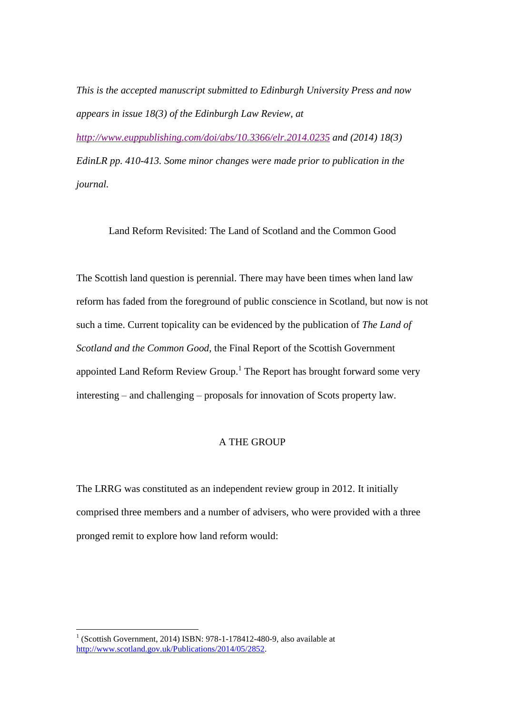*This is the accepted manuscript submitted to Edinburgh University Press and now appears in issue 18(3) of the Edinburgh Law Review, at* 

*<http://www.euppublishing.com/doi/abs/10.3366/elr.2014.0235> and (2014) 18(3) EdinLR pp. 410-413. Some minor changes were made prior to publication in the journal.*

Land Reform Revisited: The Land of Scotland and the Common Good

The Scottish land question is perennial. There may have been times when land law reform has faded from the foreground of public conscience in Scotland, but now is not such a time. Current topicality can be evidenced by the publication of *The Land of Scotland and the Common Good*, the Final Report of the Scottish Government appointed Land Reform Review Group.<sup>1</sup> The Report has brought forward some very interesting – and challenging – proposals for innovation of Scots property law.

## A THE GROUP

The LRRG was constituted as an independent review group in 2012. It initially comprised three members and a number of advisers, who were provided with a three pronged remit to explore how land reform would:

1

 $1$  (Scottish Government, 2014) ISBN: 978-1-178412-480-9, also available at [http://www.scotland.gov.uk/Publications/2014/05/2852.](http://www.scotland.gov.uk/Publications/2014/05/2852)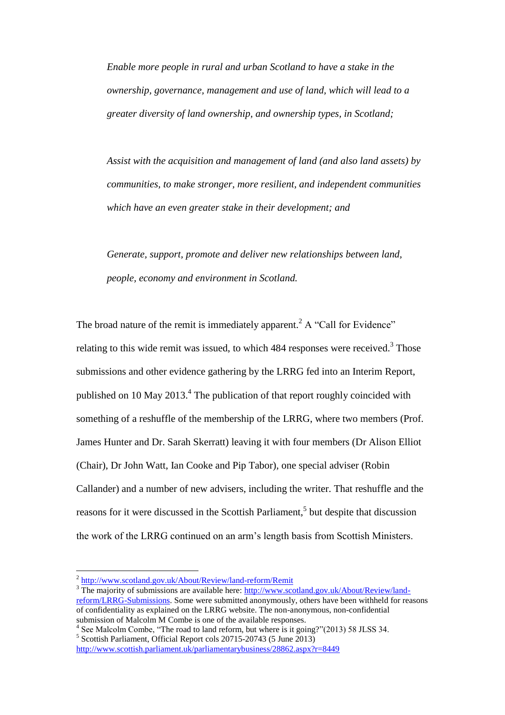*Enable more people in rural and urban Scotland to have a stake in the ownership, governance, management and use of land, which will lead to a greater diversity of land ownership, and ownership types, in Scotland;*

*Assist with the acquisition and management of land (and also land assets) by communities, to make stronger, more resilient, and independent communities which have an even greater stake in their development; and*

*Generate, support, promote and deliver new relationships between land, people, economy and environment in Scotland.*

The broad nature of the remit is immediately apparent.<sup>2</sup> A "Call for Evidence" relating to this wide remit was issued, to which  $484$  responses were received.<sup>3</sup> Those submissions and other evidence gathering by the LRRG fed into an Interim Report, published on 10 May  $2013<sup>4</sup>$ . The publication of that report roughly coincided with something of a reshuffle of the membership of the LRRG, where two members (Prof. James Hunter and Dr. Sarah Skerratt) leaving it with four members (Dr Alison Elliot (Chair), Dr John Watt, Ian Cooke and Pip Tabor), one special adviser (Robin Callander) and a number of new advisers, including the writer. That reshuffle and the reasons for it were discussed in the Scottish Parliament,<sup>5</sup> but despite that discussion the work of the LRRG continued on an arm's length basis from Scottish Ministers.

1

5 Scottish Parliament, Official Report cols 20715-20743 (5 June 2013)

<sup>&</sup>lt;sup>2</sup> <http://www.scotland.gov.uk/About/Review/land-reform/Remit>

<sup>&</sup>lt;sup>3</sup> The majority of submissions are available here: [http://www.scotland.gov.uk/About/Review/land](http://www.scotland.gov.uk/About/Review/land-reform/LRRG-Submissions)[reform/LRRG-Submissions.](http://www.scotland.gov.uk/About/Review/land-reform/LRRG-Submissions) Some were submitted anonymously, others have been withheld for reasons of confidentiality as explained on the LRRG website. The non-anonymous, non-confidential submission of Malcolm M Combe is one of the available responses.

<sup>&</sup>lt;sup>4</sup> See Malcolm Combe, "The road to land reform, but where is it going?"(2013) 58 JLSS 34.

<http://www.scottish.parliament.uk/parliamentarybusiness/28862.aspx?r=8449>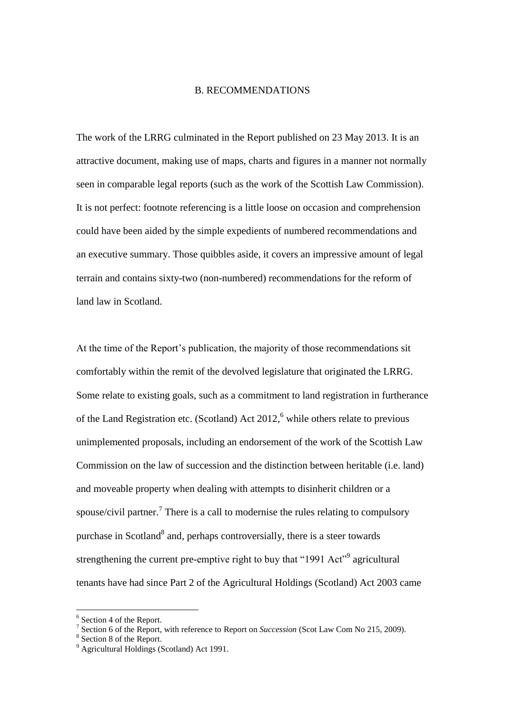## B. RECOMMENDATIONS

The work of the LRRG culminated in the Report published on 23 May 2013. It is an attractive document, making use of maps, charts and figures in a manner not normally seen in comparable legal reports (such as the work of the Scottish Law Commission). It is not perfect: footnote referencing is a little loose on occasion and comprehension could have been aided by the simple expedients of numbered recommendations and an executive summary. Those quibbles aside, it covers an impressive amount of legal terrain and contains sixty-two (non-numbered) recommendations for the reform of land law in Scotland.

At the time of the Report's publication, the majority of those recommendations sit comfortably within the remit of the devolved legislature that originated the LRRG. Some relate to existing goals, such as a commitment to land registration in furtherance of the Land Registration etc. (Scotland) Act  $2012<sup>6</sup>$  while others relate to previous unimplemented proposals, including an endorsement of the work of the Scottish Law Commission on the law of succession and the distinction between heritable (i.e. land) and moveable property when dealing with attempts to disinherit children or a spouse/civil partner.<sup>7</sup> There is a call to modernise the rules relating to compulsory purchase in Scotland<sup>8</sup> and, perhaps controversially, there is a steer towards strengthening the current pre-emptive right to buy that "1991 Act"<sup>9</sup> agricultural tenants have had since Part 2 of the Agricultural Holdings (Scotland) Act 2003 came

1

<sup>&</sup>lt;sup>6</sup> Section 4 of the Report.

<sup>7</sup> Section 6 of the Report, with reference to Report on *Succession* (Scot Law Com No 215, 2009).

<sup>&</sup>lt;sup>8</sup> Section 8 of the Report.

<sup>&</sup>lt;sup>9</sup> Agricultural Holdings (Scotland) Act 1991.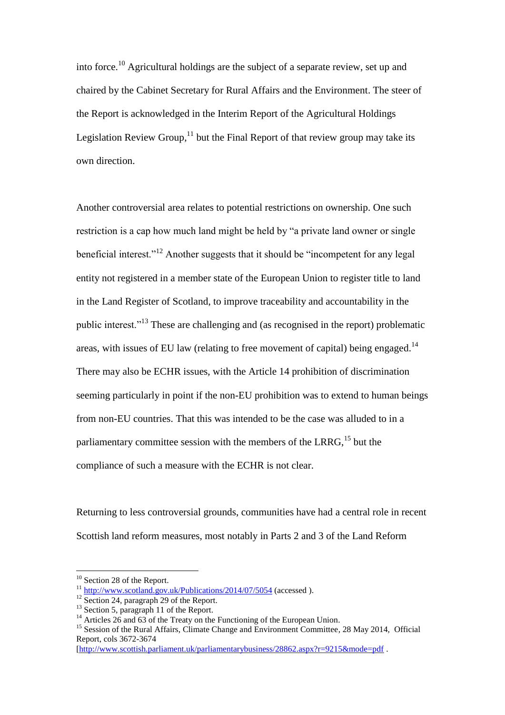into force.<sup>10</sup> Agricultural holdings are the subject of a separate review, set up and chaired by the Cabinet Secretary for Rural Affairs and the Environment. The steer of the Report is acknowledged in the Interim Report of the Agricultural Holdings Legislation Review Group, $^{11}$  but the Final Report of that review group may take its own direction.

Another controversial area relates to potential restrictions on ownership. One such restriction is a cap how much land might be held by "a private land owner or single beneficial interest."<sup>12</sup> Another suggests that it should be "incompetent for any legal entity not registered in a member state of the European Union to register title to land in the Land Register of Scotland, to improve traceability and accountability in the public interest."<sup>13</sup> These are challenging and (as recognised in the report) problematic areas, with issues of EU law (relating to free movement of capital) being engaged.<sup>14</sup> There may also be ECHR issues, with the Article 14 prohibition of discrimination seeming particularly in point if the non-EU prohibition was to extend to human beings from non-EU countries. That this was intended to be the case was alluded to in a parliamentary committee session with the members of the LRRG,  $^{15}$  but the compliance of such a measure with the ECHR is not clear.

Returning to less controversial grounds, communities have had a central role in recent Scottish land reform measures, most notably in Parts 2 and 3 of the Land Reform

1

<sup>&</sup>lt;sup>10</sup> Section 28 of the Report.

 $11 \text{ http://www.scotland.gov.uk/Publications/2014/07/5054}$  $11 \text{ http://www.scotland.gov.uk/Publications/2014/07/5054}$  $11 \text{ http://www.scotland.gov.uk/Publications/2014/07/5054}$  (accessed).

<sup>&</sup>lt;sup>12</sup> Section 24, paragraph 29 of the Report.

 $^{13}$  Section 5, paragraph 11 of the Report.

<sup>&</sup>lt;sup>14</sup> Articles 26 and 63 of the Treaty on the Functioning of the European Union.

<sup>&</sup>lt;sup>15</sup> Session of the Rural Affairs, Climate Change and Environment Committee, 28 May 2014, Official Report, cols 3672-3674

[<sup>\[</sup>http://www.scottish.parliament.uk/parliamentarybusiness/28862.aspx?r=9215&mode=pdf](http://www.scottish.parliament.uk/parliamentarybusiness/28862.aspx?r=9215&mode=pdf) .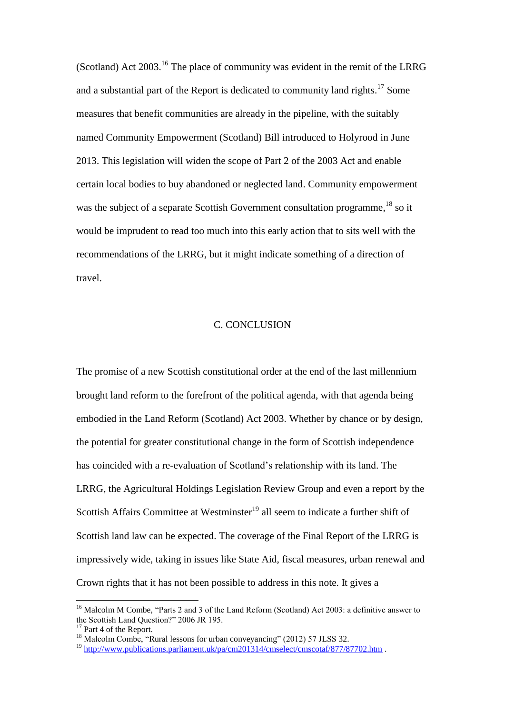(Scotland) Act  $2003$ <sup> $16$ </sup>. The place of community was evident in the remit of the LRRG and a substantial part of the Report is dedicated to community land rights.<sup>17</sup> Some measures that benefit communities are already in the pipeline, with the suitably named Community Empowerment (Scotland) Bill introduced to Holyrood in June 2013. This legislation will widen the scope of Part 2 of the 2003 Act and enable certain local bodies to buy abandoned or neglected land. Community empowerment was the subject of a separate Scottish Government consultation programme,<sup>18</sup> so it would be imprudent to read too much into this early action that to sits well with the recommendations of the LRRG, but it might indicate something of a direction of travel.

## C. CONCLUSION

The promise of a new Scottish constitutional order at the end of the last millennium brought land reform to the forefront of the political agenda, with that agenda being embodied in the Land Reform (Scotland) Act 2003. Whether by chance or by design, the potential for greater constitutional change in the form of Scottish independence has coincided with a re-evaluation of Scotland's relationship with its land. The LRRG, the Agricultural Holdings Legislation Review Group and even a report by the Scottish Affairs Committee at Westminster<sup>19</sup> all seem to indicate a further shift of Scottish land law can be expected. The coverage of the Final Report of the LRRG is impressively wide, taking in issues like State Aid, fiscal measures, urban renewal and Crown rights that it has not been possible to address in this note. It gives a

<u>.</u>

<sup>&</sup>lt;sup>16</sup> Malcolm M Combe, "Parts 2 and 3 of the Land Reform (Scotland) Act 2003: a definitive answer to the Scottish Land Question?" 2006 JR 195.

<sup>&</sup>lt;sup>17</sup> Part 4 of the Report.

<sup>&</sup>lt;sup>18</sup> Malcolm Combe, "Rural lessons for urban conveyancing" (2012) 57 JLSS 32.

<sup>&</sup>lt;sup>19</sup> <http://www.publications.parliament.uk/pa/cm201314/cmselect/cmscotaf/877/87702.htm> .